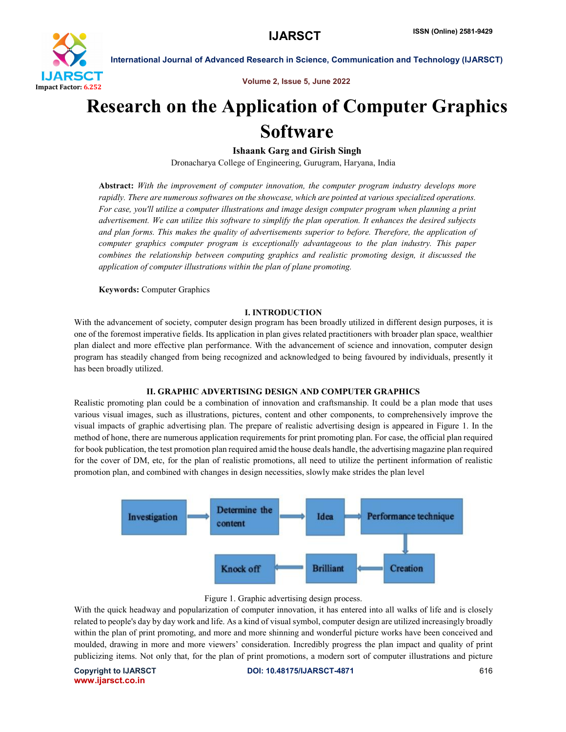

International Journal of Advanced Research in Science, Communication and Technology (IJARSCT)

Volume 2, Issue 5, June 2022

# Research on the Application of Computer Graphics **Software**

# Ishaank Garg and Girish Singh

Dronacharya College of Engineering, Gurugram, Haryana, India

Abstract: *With the improvement of computer innovation, the computer program industry develops more rapidly. There are numerous softwares on the showcase, which are pointed at various specialized operations. For case, you'll utilize a computer illustrations and image design computer program when planning a print advertisement. We can utilize this software to simplify the plan operation. It enhances the desired subjects and plan forms. This makes the quality of advertisements superior to before. Therefore, the application of computer graphics computer program is exceptionally advantageous to the plan industry. This paper combines the relationship between computing graphics and realistic promoting design, it discussed the application of computer illustrations within the plan of plane promoting.*

Keywords: Computer Graphics

#### I. INTRODUCTION

With the advancement of society, computer design program has been broadly utilized in different design purposes, it is one of the foremost imperative fields. Its application in plan gives related practitioners with broader plan space, wealthier plan dialect and more effective plan performance. With the advancement of science and innovation, computer design program has steadily changed from being recognized and acknowledged to being favoured by individuals, presently it has been broadly utilized.

# II. GRAPHIC ADVERTISING DESIGN AND COMPUTER GRAPHICS

Realistic promoting plan could be a combination of innovation and craftsmanship. It could be a plan mode that uses various visual images, such as illustrations, pictures, content and other components, to comprehensively improve the visual impacts of graphic advertising plan. The prepare of realistic advertising design is appeared in Figure 1. In the method of hone, there are numerous application requirements for print promoting plan. For case, the official plan required for book publication, the test promotion plan required amid the house deals handle, the advertising magazine plan required for the cover of DM, etc, for the plan of realistic promotions, all need to utilize the pertinent information of realistic promotion plan, and combined with changes in design necessities, slowly make strides the plan level





With the quick headway and popularization of computer innovation, it has entered into all walks of life and is closely related to people's day by day work and life. As a kind of visual symbol, computer design are utilized increasingly broadly within the plan of print promoting, and more and more shinning and wonderful picture works have been conceived and moulded, drawing in more and more viewers' consideration. Incredibly progress the plan impact and quality of print publicizing items. Not only that, for the plan of print promotions, a modern sort of computer illustrations and picture

www.ijarsct.co.in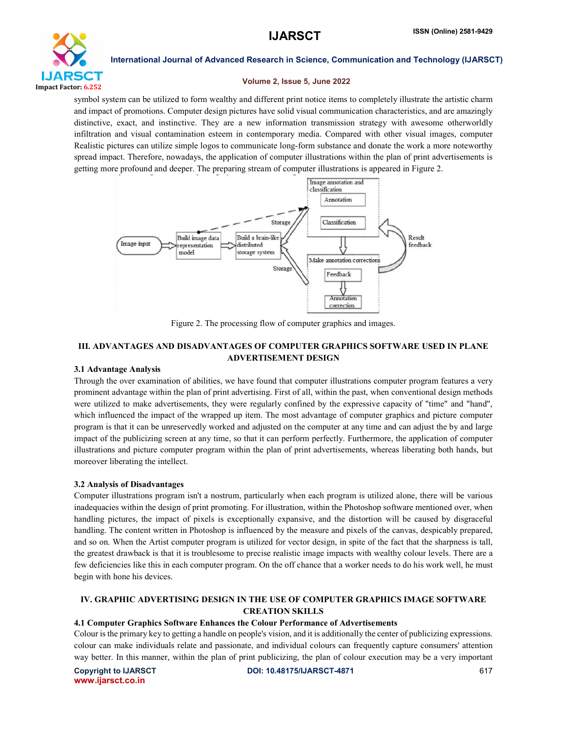

International Journal of Advanced Research in Science, Communication and Technology (IJARSCT)

#### Volume 2, Issue 5, June 2022

symbol system can be utilized to form wealthy and different print notice items to completely illustrate the artistic charm and impact of promotions. Computer design pictures have solid visual communication characteristics, and are amazingly distinctive, exact, and instinctive. They are a new information transmission strategy with awesome otherworldly infiltration and visual contamination esteem in contemporary media. Compared with other visual images, computer Realistic pictures can utilize simple logos to communicate long-form substance and donate the work a more noteworthy spread impact. Therefore, nowadays, the application of computer illustrations within the plan of print advertisements is getting more profound and deeper. The preparing stream of computer illustrations is appeared in Figure 2.



Figure 2. The processing flow of computer graphics and images.

# III. ADVANTAGES AND DISADVANTAGES OF COMPUTER GRAPHICS SOFTWARE USED IN PLANE ADVERTISEMENT DESIGN

# 3.1 Advantage Analysis

Through the over examination of abilities, we have found that computer illustrations computer program features a very prominent advantage within the plan of print advertising. First of all, within the past, when conventional design methods were utilized to make advertisements, they were regularly confined by the expressive capacity of "time" and "hand", which influenced the impact of the wrapped up item. The most advantage of computer graphics and picture computer program is that it can be unreservedly worked and adjusted on the computer at any time and can adjust the by and large impact of the publicizing screen at any time, so that it can perform perfectly. Furthermore, the application of computer illustrations and picture computer program within the plan of print advertisements, whereas liberating both hands, but moreover liberating the intellect.

# 3.2 Analysis of Disadvantages

Computer illustrations program isn't a nostrum, particularly when each program is utilized alone, there will be various inadequacies within the design of print promoting. For illustration, within the Photoshop software mentioned over, when handling pictures, the impact of pixels is exceptionally expansive, and the distortion will be caused by disgraceful handling. The content written in Photoshop is influenced by the measure and pixels of the canvas, despicably prepared, and so on. When the Artist computer program is utilized for vector design, in spite of the fact that the sharpness is tall, the greatest drawback is that it is troublesome to precise realistic image impacts with wealthy colour levels. There are a few deficiencies like this in each computer program. On the off chance that a worker needs to do his work well, he must begin with hone his devices.

# IV. GRAPHIC ADVERTISING DESIGN IN THE USE OF COMPUTER GRAPHICS IMAGE SOFTWARE CREATION SKILLS

# 4.1 Computer Graphics Software Enhances the Colour Performance of Advertisements

Colour is the primary key to getting a handle on people's vision, and it is additionally the center of publicizing expressions. colour can make individuals relate and passionate, and individual colours can frequently capture consumers' attention way better. In this manner, within the plan of print publicizing, the plan of colour execution may be a very important

www.ijarsct.co.in